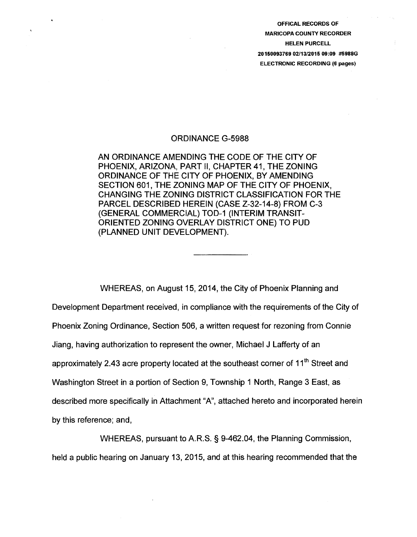OFFICAL RECORDS OF MARICOPA COUNTY RECORDER HELEN PURCELL 20150093769 02/13/2015 09:09 #5988G ELECTRONIC RECORDING (6 pages)

## ORDINANCE G-5988

AN ORDINANCE AMENDING THE CODE OF THE CITY OF PHOENIX, ARIZONA, PART II, CHAPTER 41, THE ZONING ORDINANCE OF THE CITY OF PHOENIX, BY AMENDING SECTION 601, THE ZONING MAP OF THE CITY OF PHOENIX, CHANGING THE ZONING DISTRICT CLASSIFICATION FOR THE PARCEL DESCRIBED HEREIN {CASE Z-32-14-8) FROM C-3 (GENERAL COMMERCIAL) TOD-1 (INTERIM TRANSIT-ORIENTED ZONING OVERLAY DISTRICT ONE) TO PUD (PLANNED UNIT DEVELOPMENT).

WHEREAS, on August 15, 2014, the City of Phoenix Planning and Development Department received, in compliance with the requirements of the City of Phoenix Zoning Ordinance, Section 506, a written request for rezoning from Connie Jiang, having authorization to represent the owner, Michael J Lafferty of an approximately 2.43 acre property located at the southeast corner of 11<sup>th</sup> Street and Washington Street in a portion of Section 9, Township 1 North, Range 3 East, as described more specifically in Attachment "A", attached hereto and incorporated herein by this reference; and,

WHEREAS, pursuant to A.R.S. § 9-462.04, the Planning Commission, held a public hearing on January 13, 2015, and at this hearing recommended that the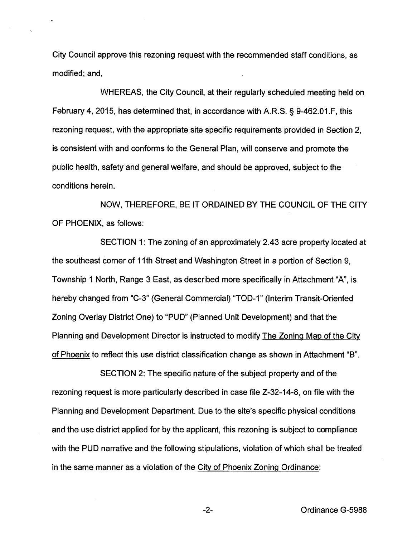City Council approve this rezoning request with the recommended staff conditions, as modified; and,

WHEREAS, the City Council, at their regularly scheduled meeting held on February 4, 2015, has determined that, in accordance with A.R.S. § 9-462.01.F, this rezoning request, with the appropriate site specific requirements provided in Section 2, is consistent with and conforms to the General Plan, will conserve and promote the public health, safety and general welfare, and should be approved, subject to the conditions herein.

NOW, THEREFORE, BE IT ORDAINED BY THE COUNCIL OF THE CITY OF PHOENIX, as follows:

SECTION 1: The zoning of an approximately 2.43 acre property located at the southeast corner of 11th Street and Washington Street in a portion of Section 9, Township 1 North, Range 3 East, as described more specifically in Attachment "A", is hereby changed from "C-3" (General Commercial) "TOD-1" (Interim Transit-Oriented Zoning Overlay District One) to "PUD" (Planned Unit Development) and that the Planning and Development Director is instructed to modify The Zoning Map of the City of Phoenix to reflect this use district classification change as shown in Attachment "B".

SECTION 2: The specific nature of the subject property and of the rezoning request is more particularly described in case file Z-32-14-8, on file with the Planning and Development Department. Due to the site's specific physical conditions and the use district applied for by the applicant, this rezoning is subject to compliance with the PUD narrative and the following stipulations, violation of which shall be treated in the same manner as a violation of the City of Phoenix Zoning Ordinance: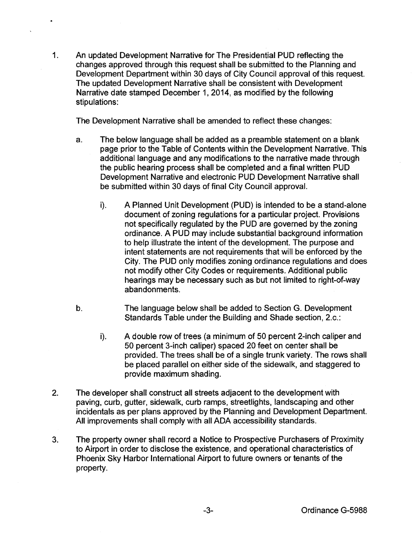1. An updated Development Narrative for The Presidential PUD reflecting the changes approved through this request shall be submitted to the Planning and Development Department within 30 days of City Council approval of this request. The updated Development Narrative shall be consistent with Development Narrative date stamped December 1, 2014, as modified by the following stipulations:

 $\bullet$ 

The Development Narrative shall be amended to reflect these changes:

- a. The below language shall be added as a preamble statement on a blank page prior to the Table of Contents within the Development Narrative. This additional language and any modifications to the narrative made through the public hearing process shall be completed and a final written PUD Development Narrative and electronic PUD Development Narrative shall be submitted within 30 days of final City Council approval.
	- i). A Planned Unit Development (PUD) is intended to be a stand-alone document of zoning regulations for a particular project. Provisions not specifically regulated by the PUD are governed by the zoning ordinance. A PUD may include substantial background information to help illustrate the intent of the development. The purpose and intent statements are not requirements that will be enforced by the City. The PUD only modifies zoning ordinance regulations and does not modify other City Codes or requirements. Additional public hearings may be necessary such as but not limited to right-of-way abandonments.
- b. The language below shall be added to Section G. Development Standards Table under the Building and Shade section, 2.c.:
	- i). A double row of trees (a minimum of 50 percent 2-inch caliper and 50 percent 3-inch caliper) spaced 20 feet on center shall be provided. The trees shall be of a single trunk variety. The rows shall be placed parallel on either side of the sidewalk, and staggered to provide maximum shading.
- 2. The developer shall construct all streets adjacent to the development with paving, curb, gutter, sidewalk, curb ramps, streetlights, landscaping and other incidentals as per plans approved by the Planning and Development Department. All improvements shall comply with all ADA accessibility standards.
- 3. The property owner shall record a Notice to Prospective Purchasers of Proximity to Airport in order to disclose the existence, and operational characteristics of Phoenix Sky Harbor International Airport to future owners or tenants of the property.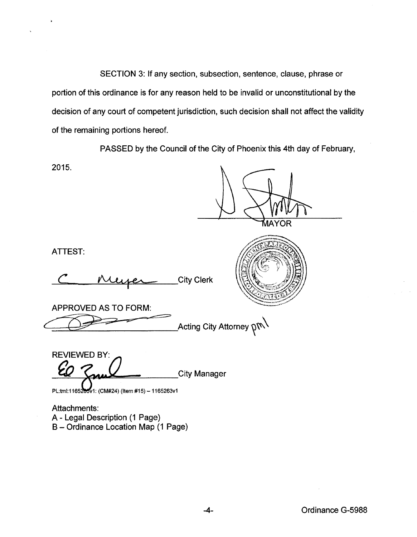SECTION 3: If any section, subsection, sentence, clause, phrase or portion of this ordinance is for any reason held to be invalid or unconstitutional by the decision of any court of competent jurisdiction, such decision shall not affect the validity of the remaining portions hereof.

PASSED by the Council of the City of Phoenix this 4th day of February,

2015.

**JAYOR** 

ATTEST:

C Muyer City Clerk

APPROVED AS TO FORM:

\_Acting City Attorney  $\mathfrak{g}\mathfrak{m}\backslash$ 

REVIEWED BY: City Manager

PL:tml:1165205v1: (CM#24) (Item #15) - 1165263v1

Attachments: A- Legal Description (1 Page) B- Ordinance Location Map (1 Page)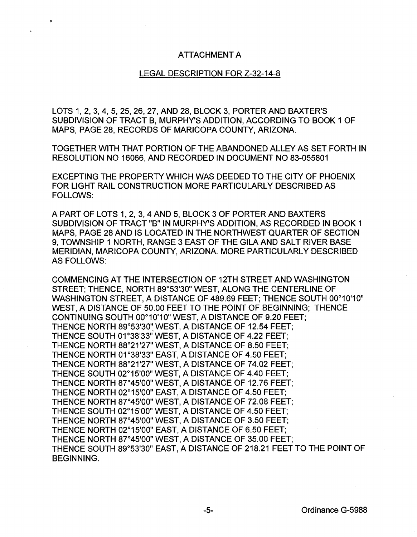## ATTACHMENT A

## LEGAL DESCRIPTION FOR Z-32-14-8

LOTS 1, 2, 3, 4, 5, 25, 26, 27, AND 28, BLOCK 3, PORTER AND BAXTER'S SUBDIVISION OF TRACT B, MURPHY'S ADDITION, ACCORDING TO BOOK 1 OF MAPS, PAGE 28, RECORDS OF MARICOPA COUNTY, ARIZONA.

TOGETHER WITH THAT PORTION OF THE ABANDONED ALLEY AS SET FORTH IN RESOLUTION NO 16066, AND RECORDED IN DOCUMENT NO 83-055801

EXCEPTING THE PROPERTY WHICH WAS DEEDED TO THE CITY OF PHOENIX FOR LIGHT RAIL CONSTRUCTION MORE PARTICULARLY DESCRIBED AS FOLLOWS:

A PART OF LOTS 1, 2, 3, 4 AND 5, BLOCK 3 OF PORTER AND BAXTERS SUBDIVISION OF TRACT "B" IN MURPHY'S ADDITION, AS RECORDED IN BOOK 1 MAPS, PAGE 28 AND IS LOCATED IN THE NORTHWEST QUARTER OF SECTION 9, TOWNSHIP 1 NORTH, RANGE 3 EAST OF THE GILA AND SALT RIVER BASE MERIDIAN, MARICOPA COUNTY, ARIZONA. MORE PARTICULARLY DESCRIBED AS FOLLOWS:

COMMENCING AT THE INTERSECTION OF 12TH STREET AND WASHINGTON STREET; THENCE, NORTH 89°53'30" WEST, ALONG THE CENTERLINE OF WASHINGTON STREET, A DISTANCE OF 489.69 FEET; THENCE SOUTH 00°10'10" WEST, A DISTANCE OF 50.00 FEET TO THE POINT OF BEGINNING; THENCE CONTINUING SOUTH 00°10'10" WEST, A DISTANCE OF 9.20 FEET; THENCE NORTH 89°53'30" WEST, A DISTANCE OF 12.54 FEET; THENCE SOUTH 01°38'33" WEST, A DISTANCE OF 4.22 FEET; THENCE NORTH 88°21'27" WEST, A DISTANCE OF 8.50 FEET; THENCE NORTH 01°38'33" EAST, A DISTANCE OF 4.50 FEET; THENCE NORTH 88°21'27" WEST, A DISTANCE OF 74.02 FEET; THENCE SOUTH 02°15'00" WEST, A DISTANCE OF 4.40 FEET; THENCE NORTH 87°45'00" WEST, A DISTANCE OF 12.76 FEET; THENCE NORTH 02°15'00" EAST, A DISTANCE OF 4.50 FEET; THENCE NORTH 87°45'00" WEST, A DISTANCE OF 72.08 FEET; THENCE SOUTH 02°15'00" WEST, A DISTANCE OF 4.50 FEET; THENCE NORTH 87°45'00" WEST, A DISTANCE OF 3.50 FEET; THENCE NORTH 02°15'00" EAST, A DISTANCE OF 6.50 FEET; THENCE NORTH 87°45'00" WEST, A DISTANCE OF 35.00 FEET; THENCE SOUTH 89°53'30" EAST, A DISTANCE OF 218.21 FEET TO THE POINT OF BEGINNING.